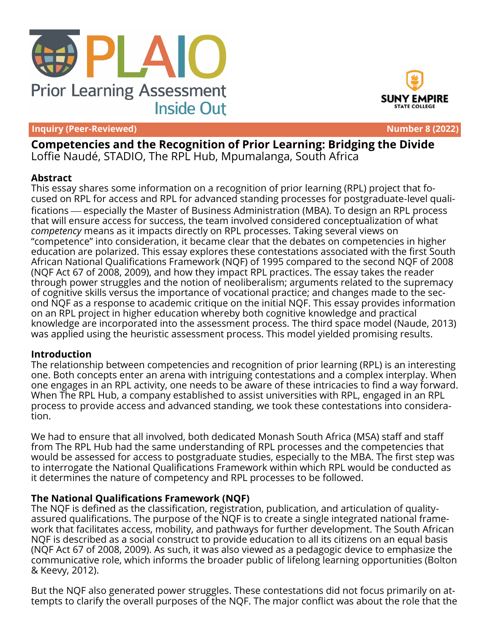





**Competencies and the Recognition of Prior Learning: Bridging the Divide** Loffie Naudé, STADIO, The RPL Hub, Mpumalanga, South Africa

#### **Abstract**

This essay shares some information on a recognition of prior learning (RPL) project that focused on RPL for access and RPL for advanced standing processes for postgraduate-level qualifications especially the Master of Business Administration (MBA). To design an RPL process that will ensure access for success, the team involved considered conceptualization of what *competency* means as it impacts directly on RPL processes. Taking several views on "competence" into consideration, it became clear that the debates on competencies in higher education are polarized. This essay explores these contestations associated with the first South African National Qualifications Framework (NQF) of 1995 compared to the second NQF of 2008 (NQF Act 67 of 2008, 2009), and how they impact RPL practices. The essay takes the reader through power struggles and the notion of neoliberalism; arguments related to the supremacy of cognitive skills versus the importance of vocational practice; and changes made to the second NQF as a response to academic critique on the initial NQF. This essay provides information on an RPL project in higher education whereby both cognitive knowledge and practical knowledge are incorporated into the assessment process. The third space model (Naude, 2013) was applied using the heuristic assessment process. This model yielded promising results.

#### **Introduction**

The relationship between competencies and recognition of prior learning (RPL) is an interesting one. Both concepts enter an arena with intriguing contestations and a complex interplay. When one engages in an RPL activity, one needs to be aware of these intricacies to find a way forward. When The RPL Hub, a company established to assist universities with RPL, engaged in an RPL process to provide access and advanced standing, we took these contestations into consideration.

We had to ensure that all involved, both dedicated Monash South Africa (MSA) staff and staff from The RPL Hub had the same understanding of RPL processes and the competencies that would be assessed for access to postgraduate studies, especially to the MBA. The first step was to interrogate the National Qualifications Framework within which RPL would be conducted as it determines the nature of competency and RPL processes to be followed.

# **The National Qualifications Framework (NQF)**

The NQF is defined as the classification, registration, publication, and articulation of qualityassured qualifications. The purpose of the NQF is to create a single integrated national framework that facilitates access, mobility, and pathways for further development. The South African NQF is described as a social construct to provide education to all its citizens on an equal basis (NQF Act 67 of 2008, 2009). As such, it was also viewed as a pedagogic device to emphasize the communicative role, which informs the broader public of lifelong learning opportunities (Bolton & Keevy, 2012).

But the NQF also generated power struggles. These contestations did not focus primarily on attempts to clarify the overall purposes of the NQF. The major conflict was about the role that the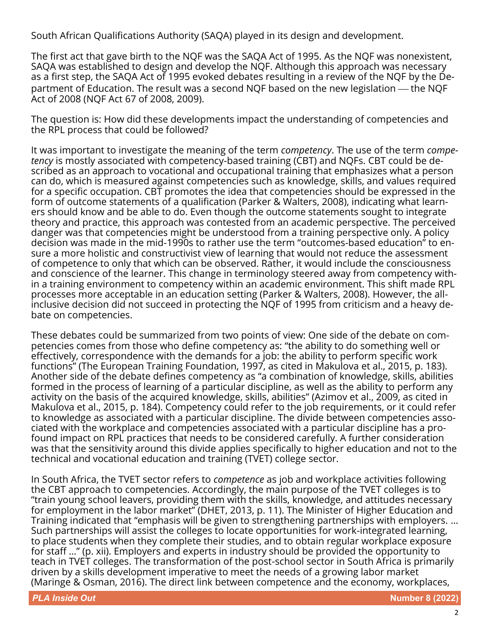South African Qualifications Authority (SAQA) played in its design and development.

The first act that gave birth to the NQF was the SAQA Act of 1995. As the NQF was nonexistent, SAQA was established to design and develop the NQF. Although this approach was necessary as a first step, the SAQA Act of 1995 evoked debates resulting in a review of the NQF by the Department of Education. The result was a second NOF based on the new legislation — the NOF Act of 2008 (NQF Act 67 of 2008, 2009).

The question is: How did these developments impact the understanding of competencies and the RPL process that could be followed?

It was important to investigate the meaning of the term *competency*. The use of the term *competency* is mostly associated with competency-based training (CBT) and NQFs. CBT could be described as an approach to vocational and occupational training that emphasizes what a person can do, which is measured against competencies such as knowledge, skills, and values required for a specific occupation. CBT promotes the idea that competencies should be expressed in the form of outcome statements of a qualification (Parker & Walters, 2008), indicating what learners should know and be able to do. Even though the outcome statements sought to integrate theory and practice, this approach was contested from an academic perspective. The perceived danger was that competencies might be understood from a training perspective only. A policy decision was made in the mid-1990s to rather use the term "outcomes-based education" to ensure a more holistic and constructivist view of learning that would not reduce the assessment of competence to only that which can be observed. Rather, it would include the consciousness and conscience of the learner. This change in terminology steered away from competency within a training environment to competency within an academic environment. This shift made RPL processes more acceptable in an education setting (Parker & Walters, 2008). However, the allinclusive decision did not succeed in protecting the NQF of 1995 from criticism and a heavy debate on competencies.

These debates could be summarized from two points of view: One side of the debate on competencies comes from those who define competency as: "the ability to do something well or effectively, correspondence with the demands for a job: the ability to perform specific work functions" (The European Training Foundation, 1997, as cited in Makulova et al., 2015, p. 183). Another side of the debate defines competency as "a combination of knowledge, skills, abilities formed in the process of learning of a particular discipline, as well as the ability to perform any activity on the basis of the acquired knowledge, skills, abilities" (Azimov et al., 2009, as cited in Makulova et al., 2015, p. 184). Competency could refer to the job requirements, or it could refer to knowledge as associated with a particular discipline. The divide between competencies associated with the workplace and competencies associated with a particular discipline has a profound impact on RPL practices that needs to be considered carefully. A further consideration was that the sensitivity around this divide applies specifically to higher education and not to the technical and vocational education and training (TVET) college sector.

In South Africa, the TVET sector refers to *competence* as job and workplace activities following the CBT approach to competencies. Accordingly, the main purpose of the TVET colleges is to "train young school leavers, providing them with the skills, knowledge, and attitudes necessary for employment in the labor market" (DHET, 2013, p. 11). The Minister of Higher Education and Training indicated that "emphasis will be given to strengthening partnerships with employers. … Such partnerships will assist the colleges to locate opportunities for work-integrated learning, to place students when they complete their studies, and to obtain regular workplace exposure for staff …" (p. xii). Employers and experts in industry should be provided the opportunity to teach in TVET colleges. The transformation of the post-school sector in South Africa is primarily driven by a skills development imperative to meet the needs of a growing labor market (Maringe & Osman, 2016). The direct link between competence and the economy, workplaces,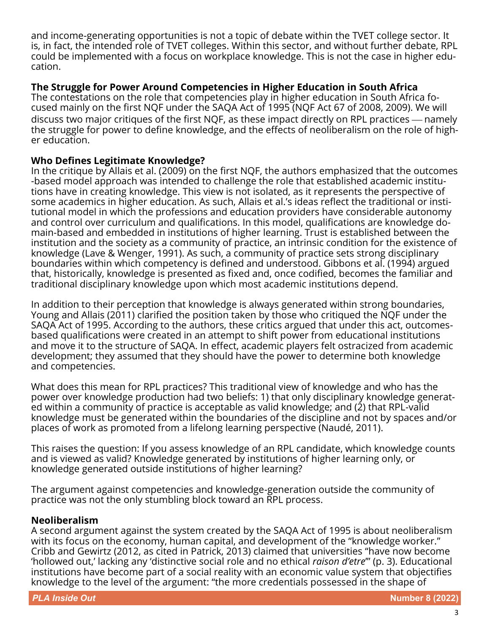and income-generating opportunities is not a topic of debate within the TVET college sector. It is, in fact, the intended role of TVET colleges. Within this sector, and without further debate, RPL could be implemented with a focus on workplace knowledge. This is not the case in higher education.

### **The Struggle for Power Around Competencies in Higher Education in South Africa**

The contestations on the role that competencies play in higher education in South Africa focused mainly on the first NQF under the SAQA Act of 1995 (NQF Act 67 of 2008, 2009). We will discuss two major critiques of the first NQF, as these impact directly on RPL practices — namely the struggle for power to define knowledge, and the effects of neoliberalism on the role of higher education.

### **Who Defines Legitimate Knowledge?**

In the critique by Allais et al. (2009) on the first NQF, the authors emphasized that the outcomes -based model approach was intended to challenge the role that established academic institutions have in creating knowledge. This view is not isolated, as it represents the perspective of some academics in higher education. As such, Allais et al.'s ideas reflect the traditional or institutional model in which the professions and education providers have considerable autonomy and control over curriculum and qualifications. In this model, qualifications are knowledge domain-based and embedded in institutions of higher learning. Trust is established between the institution and the society as a community of practice, an intrinsic condition for the existence of knowledge (Lave & Wenger, 1991). As such, a community of practice sets strong disciplinary boundaries within which competency is defined and understood. Gibbons et al. (1994) argued that, historically, knowledge is presented as fixed and, once codified, becomes the familiar and traditional disciplinary knowledge upon which most academic institutions depend.

In addition to their perception that knowledge is always generated within strong boundaries, Young and Allais (2011) clarified the position taken by those who critiqued the NQF under the SAQA Act of 1995. According to the authors, these critics argued that under this act, outcomesbased qualifications were created in an attempt to shift power from educational institutions and move it to the structure of SAQA. In effect, academic players felt ostracized from academic development; they assumed that they should have the power to determine both knowledge and competencies.

What does this mean for RPL practices? This traditional view of knowledge and who has the power over knowledge production had two beliefs: 1) that only disciplinary knowledge generated within a community of practice is acceptable as valid knowledge; and (2) that RPL-valid knowledge must be generated within the boundaries of the discipline and not by spaces and/or places of work as promoted from a lifelong learning perspective (Naudé, 2011).

This raises the question: If you assess knowledge of an RPL candidate, which knowledge counts and is viewed as valid? Knowledge generated by institutions of higher learning only, or knowledge generated outside institutions of higher learning?

The argument against competencies and knowledge-generation outside the community of practice was not the only stumbling block toward an RPL process.

#### **Neoliberalism**

A second argument against the system created by the SAQA Act of 1995 is about neoliberalism with its focus on the economy, human capital, and development of the "knowledge worker." Cribb and Gewirtz (2012, as cited in Patrick, 2013) claimed that universities "have now become 'hollowed out,' lacking any 'distinctive social role and no ethical *raison d'etre*'" (p. 3). Educational institutions have become part of a social reality with an economic value system that objectifies knowledge to the level of the argument: "the more credentials possessed in the shape of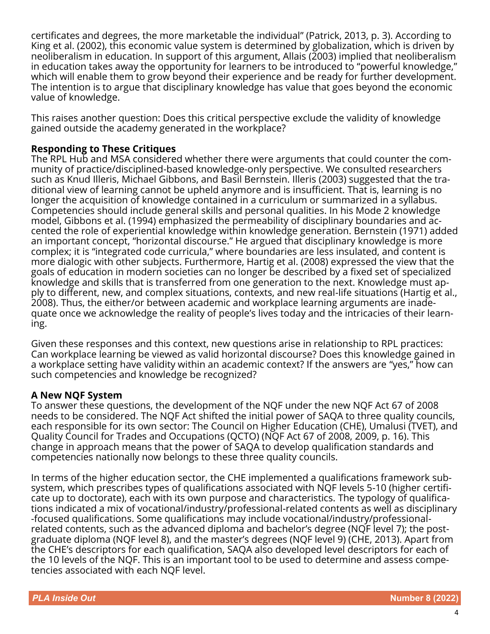certificates and degrees, the more marketable the individual" (Patrick, 2013, p. 3). According to King et al. (2002), this economic value system is determined by globalization, which is driven by neoliberalism in education. In support of this argument, Allais (2003) implied that neoliberalism in education takes away the opportunity for learners to be introduced to "powerful knowledge," which will enable them to grow beyond their experience and be ready for further development. The intention is to argue that disciplinary knowledge has value that goes beyond the economic value of knowledge.

This raises another question: Does this critical perspective exclude the validity of knowledge gained outside the academy generated in the workplace?

# **Responding to These Critiques**

The RPL Hub and MSA considered whether there were arguments that could counter the community of practice/disciplined-based knowledge-only perspective. We consulted researchers such as Knud Illeris, Michael Gibbons, and Basil Bernstein. Illeris (2003) suggested that the traditional view of learning cannot be upheld anymore and is insufficient. That is, learning is no longer the acquisition of knowledge contained in a curriculum or summarized in a syllabus. Competencies should include general skills and personal qualities. In his Mode 2 knowledge model, Gibbons et al. (1994) emphasized the permeability of disciplinary boundaries and accented the role of experiential knowledge within knowledge generation. Bernstein (1971) added an important concept, "horizontal discourse." He argued that disciplinary knowledge is more complex; it is "integrated code curricula," where boundaries are less insulated, and content is more dialogic with other subjects. Furthermore, Hartig et al. (2008) expressed the view that the goals of education in modern societies can no longer be described by a fixed set of specialized knowledge and skills that is transferred from one generation to the next. Knowledge must apply to different, new, and complex situations, contexts, and new real-life situations (Hartig et al., 2008). Thus, the either/or between academic and workplace learning arguments are inadequate once we acknowledge the reality of people's lives today and the intricacies of their learning.

Given these responses and this context, new questions arise in relationship to RPL practices: Can workplace learning be viewed as valid horizontal discourse? Does this knowledge gained in a workplace setting have validity within an academic context? If the answers are "yes," how can such competencies and knowledge be recognized?

#### **A New NQF System**

To answer these questions, the development of the NQF under the new NQF Act 67 of 2008 needs to be considered. The NQF Act shifted the initial power of SAQA to three quality councils, each responsible for its own sector: The Council on Higher Education (CHE), Umalusi (TVET), and Quality Council for Trades and Occupations (QCTO) (NQF Act 67 of 2008, 2009, p. 16). This change in approach means that the power of SAQA to develop qualification standards and competencies nationally now belongs to these three quality councils.

In terms of the higher education sector, the CHE implemented a qualifications framework subsystem, which prescribes types of qualifications associated with NQF levels 5-10 (higher certificate up to doctorate), each with its own purpose and characteristics. The typology of qualifications indicated a mix of vocational/industry/professional-related contents as well as disciplinary -focused qualifications. Some qualifications may include vocational/industry/professionalrelated contents, such as the advanced diploma and bachelor's degree (NQF level 7); the postgraduate diploma (NQF level 8), and the master's degrees (NQF level 9) (CHE, 2013). Apart from the CHE's descriptors for each qualification, SAQA also developed level descriptors for each of the 10 levels of the NQF. This is an important tool to be used to determine and assess competencies associated with each NQF level.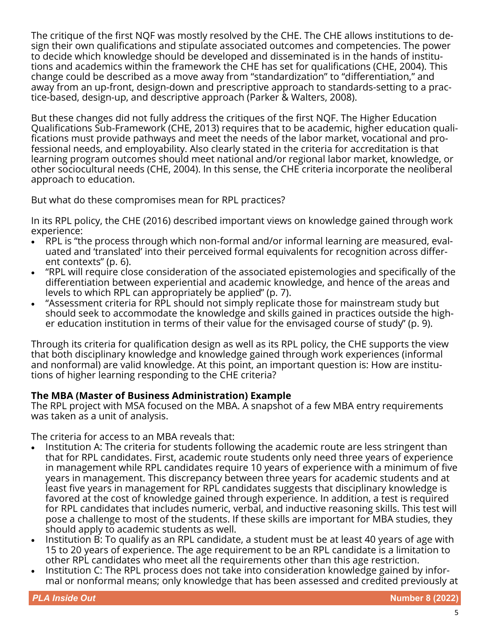The critique of the first NQF was mostly resolved by the CHE. The CHE allows institutions to design their own qualifications and stipulate associated outcomes and competencies. The power to decide which knowledge should be developed and disseminated is in the hands of institutions and academics within the framework the CHE has set for qualifications (CHE, 2004). This change could be described as a move away from "standardization" to "differentiation," and away from an up-front, design-down and prescriptive approach to standards-setting to a practice-based, design-up, and descriptive approach (Parker & Walters, 2008).

But these changes did not fully address the critiques of the first NQF. The Higher Education Qualifications Sub-Framework (CHE, 2013) requires that to be academic, higher education qualifications must provide pathways and meet the needs of the labor market, vocational and professional needs, and employability. Also clearly stated in the criteria for accreditation is that learning program outcomes should meet national and/or regional labor market, knowledge, or other sociocultural needs (CHE, 2004). In this sense, the CHE criteria incorporate the neoliberal approach to education.

But what do these compromises mean for RPL practices?

In its RPL policy, the CHE (2016) described important views on knowledge gained through work experience:

- RPL is "the process through which non-formal and/or informal learning are measured, evaluated and 'translated' into their perceived formal equivalents for recognition across different contexts" (p. 6).
- "RPL will require close consideration of the associated epistemologies and specifically of the differentiation between experiential and academic knowledge, and hence of the areas and levels to which RPL can appropriately be applied" (p. 7).
- "Assessment criteria for RPL should not simply replicate those for mainstream study but should seek to accommodate the knowledge and skills gained in practices outside the higher education institution in terms of their value for the envisaged course of study" (p. 9).

Through its criteria for qualification design as well as its RPL policy, the CHE supports the view that both disciplinary knowledge and knowledge gained through work experiences (informal and nonformal) are valid knowledge. At this point, an important question is: How are institutions of higher learning responding to the CHE criteria?

# **The MBA (Master of Business Administration) Example**

The RPL project with MSA focused on the MBA. A snapshot of a few MBA entry requirements was taken as a unit of analysis.

The criteria for access to an MBA reveals that:

- Institution A: The criteria for students following the academic route are less stringent than that for RPL candidates. First, academic route students only need three years of experience in management while RPL candidates require 10 years of experience with a minimum of five years in management. This discrepancy between three years for academic students and at least five years in management for RPL candidates suggests that disciplinary knowledge is favored at the cost of knowledge gained through experience. In addition, a test is required for RPL candidates that includes numeric, verbal, and inductive reasoning skills. This test will pose a challenge to most of the students. If these skills are important for MBA studies, they should apply to academic students as well.
- Institution B: To qualify as an RPL candidate, a student must be at least 40 years of age with 15 to 20 years of experience. The age requirement to be an RPL candidate is a limitation to other RPL candidates who meet all the requirements other than this age restriction.
- Institution C: The RPL process does not take into consideration knowledge gained by informal or nonformal means; only knowledge that has been assessed and credited previously at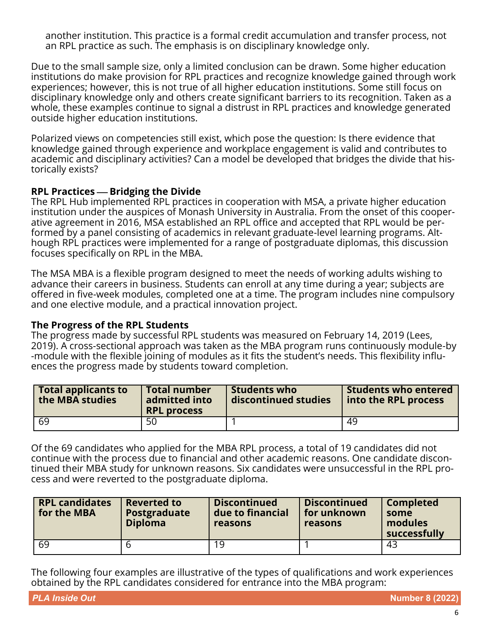another institution. This practice is a formal credit accumulation and transfer process, not an RPL practice as such. The emphasis is on disciplinary knowledge only.

Due to the small sample size, only a limited conclusion can be drawn. Some higher education institutions do make provision for RPL practices and recognize knowledge gained through work experiences; however, this is not true of all higher education institutions. Some still focus on disciplinary knowledge only and others create significant barriers to its recognition. Taken as a whole, these examples continue to signal a distrust in RPL practices and knowledge generated outside higher education institutions.

Polarized views on competencies still exist, which pose the question: Is there evidence that knowledge gained through experience and workplace engagement is valid and contributes to academic and disciplinary activities? Can a model be developed that bridges the divide that historically exists?

### **RPL Practices** ⎯ **Bridging the Divide**

The RPL Hub implemented RPL practices in cooperation with MSA, a private higher education institution under the auspices of Monash University in Australia. From the onset of this cooperative agreement in 2016, MSA established an RPL office and accepted that RPL would be performed by a panel consisting of academics in relevant graduate-level learning programs. Although RPL practices were implemented for a range of postgraduate diplomas, this discussion focuses specifically on RPL in the MBA.

The MSA MBA is a flexible program designed to meet the needs of working adults wishing to advance their careers in business. Students can enroll at any time during a year; subjects are offered in five-week modules, completed one at a time. The program includes nine compulsory and one elective module, and a practical innovation project.

#### **The Progress of the RPL Students**

The progress made by successful RPL students was measured on February 14, 2019 (Lees, 2019). A cross-sectional approach was taken as the MBA program runs continuously module-by -module with the flexible joining of modules as it fits the student's needs. This flexibility influences the progress made by students toward completion.

| <b>Total applicants to</b><br>the MBA studies | <b>Total number</b><br>admitted into<br><b>RPL process</b> | <b>Students who</b><br>discontinued studies | <b>Students who entered</b><br>into the RPL process |
|-----------------------------------------------|------------------------------------------------------------|---------------------------------------------|-----------------------------------------------------|
| -69                                           | 50                                                         |                                             | 49                                                  |

Of the 69 candidates who applied for the MBA RPL process, a total of 19 candidates did not continue with the process due to financial and other academic reasons. One candidate discontinued their MBA study for unknown reasons. Six candidates were unsuccessful in the RPL process and were reverted to the postgraduate diploma.

| <b>RPL candidates</b><br>for the MBA | <b>Reverted to</b><br>Postgraduate<br><b>Diploma</b> | <b>Discontinued</b><br>due to financial<br>reasons | <b>Discontinued</b><br>for unknown<br>reasons | <b>Completed</b><br>some<br>modules<br>successfully |
|--------------------------------------|------------------------------------------------------|----------------------------------------------------|-----------------------------------------------|-----------------------------------------------------|
| 69                                   |                                                      | 19                                                 |                                               | 43                                                  |

The following four examples are illustrative of the types of qualifications and work experiences obtained by the RPL candidates considered for entrance into the MBA program: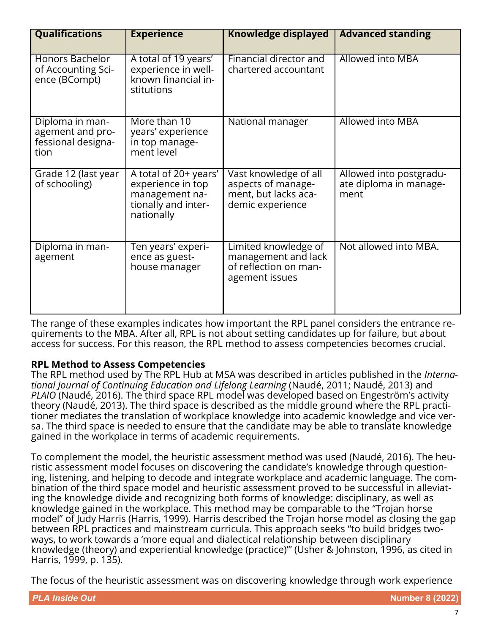| <b>Qualifications</b>                                             | <b>Experience</b>                                                                                 | Knowledge displayed                                                                     | <b>Advanced standing</b>                                  |
|-------------------------------------------------------------------|---------------------------------------------------------------------------------------------------|-----------------------------------------------------------------------------------------|-----------------------------------------------------------|
| Honors Bachelor<br>of Accounting Sci-<br>ence (BCompt)            | A total of 19 years'<br>experience in well-<br>known financial in-<br>stitutions                  | Financial director and<br>chartered accountant                                          | Allowed into MBA                                          |
| Diploma in man-<br>agement and pro-<br>fessional designa-<br>tion | More than 10<br>years' experience<br>in top manage-<br>ment level                                 | National manager                                                                        | <b>Allowed into MBA</b>                                   |
| Grade 12 (last year<br>of schooling)                              | A total of 20+ years'<br>experience in top<br>management na-<br>tionally and inter-<br>nationally | Vast knowledge of all<br>aspects of manage-<br>ment, but lacks aca-<br>demic experience | Allowed into postgradu-<br>ate diploma in manage-<br>ment |
| Diploma in man-<br>agement                                        | Ten years' experi-<br>ence as guest-<br>house manager                                             | Limited knowledge of<br>management and lack<br>of reflection on man-<br>agement issues  | Not allowed into MBA.                                     |

The range of these examples indicates how important the RPL panel considers the entrance requirements to the MBA. After all, RPL is not about setting candidates up for failure, but about access for success. For this reason, the RPL method to assess competencies becomes crucial.

# **RPL Method to Assess Competencies**

The RPL method used by The RPL Hub at MSA was described in articles published in the *International Journal of Continuing Education and Lifelong Learning* (Naudé, 2011; Naudé, 2013) and *PLAIO* (Naudé, 2016). The third space RPL model was developed based on Engeström's activity theory (Naudé, 2013). The third space is described as the middle ground where the RPL practitioner mediates the translation of workplace knowledge into academic knowledge and vice versa. The third space is needed to ensure that the candidate may be able to translate knowledge gained in the workplace in terms of academic requirements.

To complement the model, the heuristic assessment method was used (Naudé, 2016). The heuristic assessment model focuses on discovering the candidate's knowledge through questioning, listening, and helping to decode and integrate workplace and academic language. The combination of the third space model and heuristic assessment proved to be successful in alleviating the knowledge divide and recognizing both forms of knowledge: disciplinary, as well as knowledge gained in the workplace. This method may be comparable to the "Trojan horse model" of Judy Harris (Harris, 1999). Harris described the Trojan horse model as closing the gap between RPL practices and mainstream curricula. This approach seeks "to build bridges twoways, to work towards a 'more equal and dialectical relationship between disciplinary knowledge (theory) and experiential knowledge (practice)'" (Usher & Johnston, 1996, as cited in Harris, 1999, p. 135).

The focus of the heuristic assessment was on discovering knowledge through work experience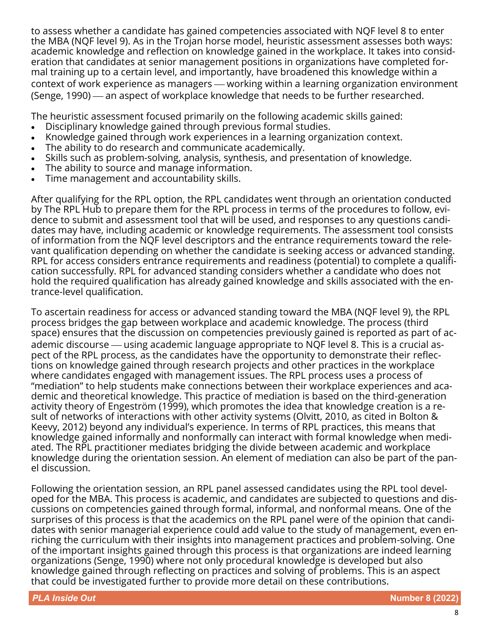to assess whether a candidate has gained competencies associated with NQF level 8 to enter the MBA (NQF level 9). As in the Trojan horse model, heuristic assessment assesses both ways: academic knowledge and reflection on knowledge gained in the workplace. It takes into consideration that candidates at senior management positions in organizations have completed formal training up to a certain level, and importantly, have broadened this knowledge within a context of work experience as managers - working within a learning organization environment (Senge, 1990) — an aspect of workplace knowledge that needs to be further researched.

The heuristic assessment focused primarily on the following academic skills gained:

- Disciplinary knowledge gained through previous formal studies.
- Knowledge gained through work experiences in a learning organization context.
- The ability to do research and communicate academically.
- Skills such as problem-solving, analysis, synthesis, and presentation of knowledge.
- The ability to source and manage information.
- Time management and accountability skills.

After qualifying for the RPL option, the RPL candidates went through an orientation conducted by The RPL Hub to prepare them for the RPL process in terms of the procedures to follow, evidence to submit and assessment tool that will be used, and responses to any questions candidates may have, including academic or knowledge requirements. The assessment tool consists of information from the NQF level descriptors and the entrance requirements toward the relevant qualification depending on whether the candidate is seeking access or advanced standing. RPL for access considers entrance requirements and readiness (potential) to complete a qualification successfully. RPL for advanced standing considers whether a candidate who does not hold the required qualification has already gained knowledge and skills associated with the entrance-level qualification.

To ascertain readiness for access or advanced standing toward the MBA (NQF level 9), the RPL process bridges the gap between workplace and academic knowledge. The process (third space) ensures that the discussion on competencies previously gained is reported as part of academic discourse — using academic language appropriate to NQF level 8. This is a crucial aspect of the RPL process, as the candidates have the opportunity to demonstrate their reflections on knowledge gained through research projects and other practices in the workplace where candidates engaged with management issues. The RPL process uses a process of "mediation" to help students make connections between their workplace experiences and academic and theoretical knowledge. This practice of mediation is based on the third-generation activity theory of Engeström (1999), which promotes the idea that knowledge creation is a result of networks of interactions with other activity systems (Olvitt, 2010, as cited in Bolton & Keevy, 2012) beyond any individual's experience. In terms of RPL practices, this means that knowledge gained informally and nonformally can interact with formal knowledge when mediated. The RPL practitioner mediates bridging the divide between academic and workplace knowledge during the orientation session. An element of mediation can also be part of the panel discussion.

Following the orientation session, an RPL panel assessed candidates using the RPL tool developed for the MBA. This process is academic, and candidates are subjected to questions and discussions on competencies gained through formal, informal, and nonformal means. One of the surprises of this process is that the academics on the RPL panel were of the opinion that candidates with senior managerial experience could add value to the study of management, even enriching the curriculum with their insights into management practices and problem-solving. One of the important insights gained through this process is that organizations are indeed learning organizations (Senge, 1990) where not only procedural knowledge is developed but also knowledge gained through reflecting on practices and solving of problems. This is an aspect that could be investigated further to provide more detail on these contributions.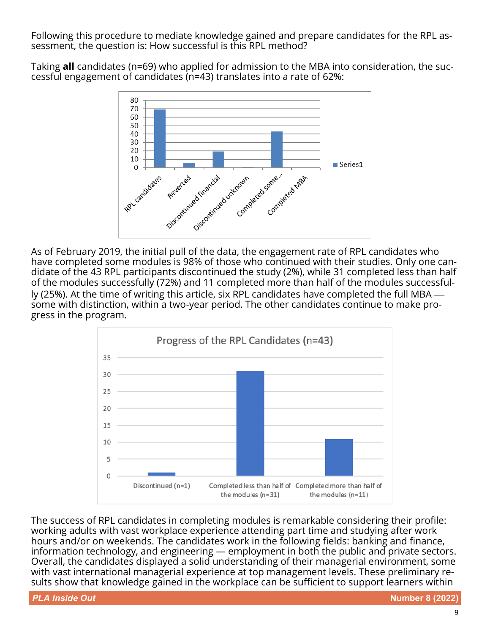Following this procedure to mediate knowledge gained and prepare candidates for the RPL assessment, the question is: How successful is this RPL method?

Taking **all** candidates (n=69) who applied for admission to the MBA into consideration, the successful engagement of candidates (n=43) translates into a rate of 62%:



As of February 2019, the initial pull of the data, the engagement rate of RPL candidates who have completed some modules is 98% of those who continued with their studies. Only one candidate of the 43 RPL participants discontinued the study (2%), while 31 completed less than half of the modules successfully (72%) and 11 completed more than half of the modules successfully (25%). At the time of writing this article, six RPL candidates have completed the full MBA  $$ some with distinction, within a two-year period. The other candidates continue to make progress in the program.



The success of RPL candidates in completing modules is remarkable considering their profile: working adults with vast workplace experience attending part time and studying after work hours and/or on weekends. The candidates work in the following fields: banking and finance, information technology, and engineering — employment in both the public and private sectors. Overall, the candidates displayed a solid understanding of their managerial environment, some with vast international managerial experience at top management levels. These preliminary results show that knowledge gained in the workplace can be sufficient to support learners within

**PLA Inside Out Number 8 (2022)**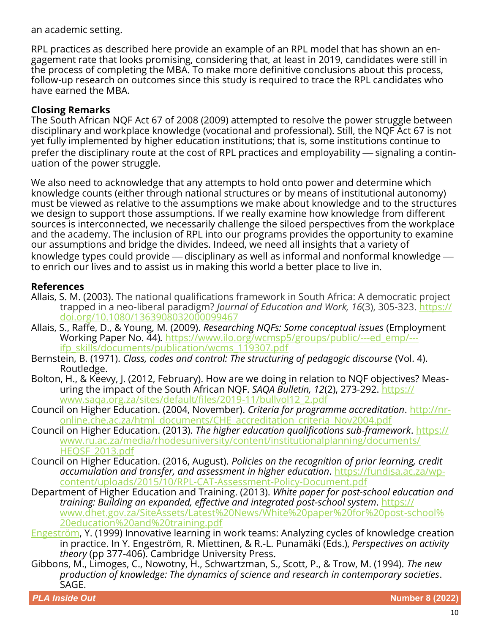an academic setting.

RPL practices as described here provide an example of an RPL model that has shown an engagement rate that looks promising, considering that, at least in 2019, candidates were still in the process of completing the MBA. To make more definitive conclusions about this process, follow-up research on outcomes since this study is required to trace the RPL candidates who have earned the MBA.

# **Closing Remarks**

The South African NQF Act 67 of 2008 (2009) attempted to resolve the power struggle between disciplinary and workplace knowledge (vocational and professional). Still, the NQF Act 67 is not yet fully implemented by higher education institutions; that is, some institutions continue to prefer the disciplinary route at the cost of RPL practices and employability — signaling a continuation of the power struggle.

We also need to acknowledge that any attempts to hold onto power and determine which knowledge counts (either through national structures or by means of institutional autonomy) must be viewed as relative to the assumptions we make about knowledge and to the structures we design to support those assumptions. If we really examine how knowledge from different sources is interconnected, we necessarily challenge the siloed perspectives from the workplace and the academy. The inclusion of RPL into our programs provides the opportunity to examine our assumptions and bridge the divides. Indeed, we need all insights that a variety of knowledge types could provide  $-$  disciplinary as well as informal and nonformal knowledge  $$ to enrich our lives and to assist us in making this world a better place to live in.

### **References**

- Allais, S. M. (2003). The national qualifications framework in South Africa: A democratic project trapped in a neo-liberal paradigm? *Journal of Education and Work, 16*(3), 305-323. [https://](https://doi.org/10.1080/1363908032000099467) [doi.org/10.1080/1363908032000099467](https://doi.org/10.1080/1363908032000099467)
- Allais, S., Raffe, D., & Young, M. (2009). *Researching NQFs: Some conceptual issues* (Employment Working Paper No. 44)*.* [https://www.ilo.org/wcmsp5/groups/public/](https://www.ilo.org/wcmsp5/groups/public/---ed_emp/---ifp_skills/documents/publication/wcms_119307.pdf)---ed\_emp/-- [ifp\\_skills/documents/publication/wcms\\_119307.pdf](https://www.ilo.org/wcmsp5/groups/public/---ed_emp/---ifp_skills/documents/publication/wcms_119307.pdf)
- Bernstein, B. (1971). *Class, codes and control: The structuring of pedagogic discourse* (Vol. 4). Routledge.
- Bolton, H., & Keevy, J. (2012, February). How are we doing in relation to NQF objectives? Measuring the impact of the South African NQF. *SAQA Bulletin, 12*(2), 273-292. [https://](https://www.saqa.org.za/sites/default/files/2019-11/bullvol12_2.pdf) [www.saqa.org.za/sites/default/files/2019](https://www.saqa.org.za/sites/default/files/2019-11/bullvol12_2.pdf)-11/bullvol12\_2.pdf
- Council on Higher Education. (2004, November). *Criteria for programme accreditation*. [http://nr](http://nr-online.che.ac.za/html_documents/CHE_accreditation_criteria_Nov2004.pdf)[online.che.ac.za/html\\_documents/CHE\\_accreditation\\_criteria\\_Nov2004.pdf](http://nr-online.che.ac.za/html_documents/CHE_accreditation_criteria_Nov2004.pdf)
- Council on Higher Education. (2013). *The higher education qualifications sub-framework*. [https://](https://www.ru.ac.za/media/rhodesuniversity/content/institutionalplanning/documents/HEQSF_2013.pdf) [www.ru.ac.za/media/rhodesuniversity/content/institutionalplanning/documents/](https://www.ru.ac.za/media/rhodesuniversity/content/institutionalplanning/documents/HEQSF_2013.pdf) [HEQSF\\_2013.pdf](https://www.ru.ac.za/media/rhodesuniversity/content/institutionalplanning/documents/HEQSF_2013.pdf)
- Council on Higher Education. (2016, August). *Policies on the recognition of prior learning, credit accumulation and transfer, and assessment in higher education*. [https://fundisa.ac.za/wp](https://fundisa.ac.za/wp-content/uploads/2015/10/RPL-CAT-Assessment-Policy-Document.pdf)[content/uploads/2015/10/RPL](https://fundisa.ac.za/wp-content/uploads/2015/10/RPL-CAT-Assessment-Policy-Document.pdf)-CAT-Assessment-Policy-Document.pdf
- Department of Higher Education and Training. (2013). *White paper for post-school education and training: Building an expanded, effective and integrated post-school system*. [https://](https://www.dhet.gov.za/SiteAssets/Latest%20News/White%20paper%20for%20post-school%20education%20and%20training.pdf) [www.dhet.gov.za/SiteAssets/Latest%20News/White%20paper%20for%20post](https://www.dhet.gov.za/SiteAssets/Latest%20News/White%20paper%20for%20post-school%20education%20and%20training.pdf)-school% [20education%20and%20training.pdf](https://www.dhet.gov.za/SiteAssets/Latest%20News/White%20paper%20for%20post-school%20education%20and%20training.pdf)
- Engeström, Y. (1999) Innovative learning in work teams: Analyzing cycles of knowledge creation in practice. In Y. Engeström, R. Miettinen, & R.-L. Punamäki (Eds.), *Perspectives on activity theory* (pp 377-406). Cambridge University Press.
- Gibbons, M., Limoges, C., Nowotny, H., Schwartzman, S., Scott, P., & Trow, M. (1994). *The new production of knowledge: The dynamics of science and research in contemporary societies*. SAGE.